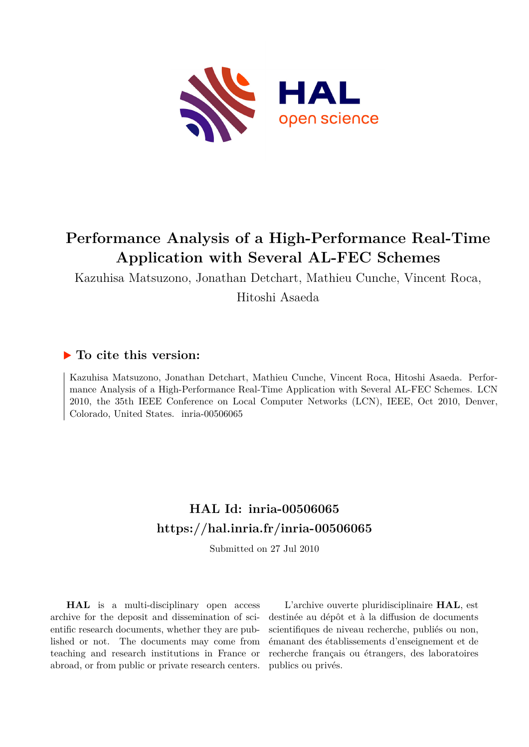

## **Performance Analysis of a High-Performance Real-Time Application with Several AL-FEC Schemes**

Kazuhisa Matsuzono, Jonathan Detchart, Mathieu Cunche, Vincent Roca,

Hitoshi Asaeda

### **To cite this version:**

Kazuhisa Matsuzono, Jonathan Detchart, Mathieu Cunche, Vincent Roca, Hitoshi Asaeda. Performance Analysis of a High-Performance Real-Time Application with Several AL-FEC Schemes. LCN 2010, the 35th IEEE Conference on Local Computer Networks (LCN), IEEE, Oct 2010, Denver, Colorado, United States. inria-00506065

## **HAL Id: inria-00506065 <https://hal.inria.fr/inria-00506065>**

Submitted on 27 Jul 2010

**HAL** is a multi-disciplinary open access archive for the deposit and dissemination of scientific research documents, whether they are published or not. The documents may come from teaching and research institutions in France or abroad, or from public or private research centers.

L'archive ouverte pluridisciplinaire **HAL**, est destinée au dépôt et à la diffusion de documents scientifiques de niveau recherche, publiés ou non, émanant des établissements d'enseignement et de recherche français ou étrangers, des laboratoires publics ou privés.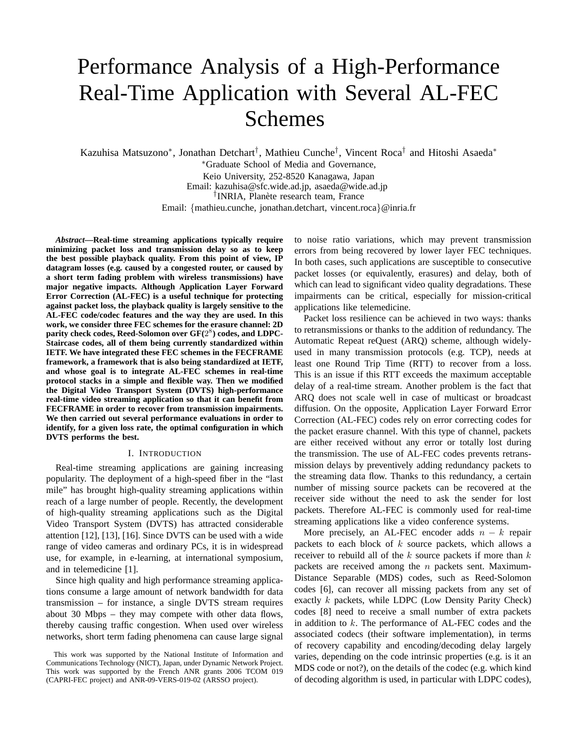# Performance Analysis of a High-Performance Real-Time Application with Several AL-FEC Schemes

Kazuhisa Matsuzono<sup>∗</sup> , Jonathan Detchart† , Mathieu Cunche† , Vincent Roca† and Hitoshi Asaeda<sup>∗</sup> <sup>∗</sup>Graduate School of Media and Governance,

> Keio University, 252-8520 Kanagawa, Japan Email: kazuhisa@sfc.wide.ad.jp, asaeda@wide.ad.jp <sup>†</sup> INRIA, Planète research team, France Email: {mathieu.cunche, jonathan.detchart, vincent.roca}@inria.fr

*Abstract***—Real-time streaming applications typically require minimizing packet loss and transmission delay so as to keep the best possible playback quality. From this point of view, IP datagram losses (e.g. caused by a congested router, or caused by a short term fading problem with wireless transmissions) have major negative impacts. Although Application Layer Forward Error Correction (AL-FEC) is a useful technique for protecting against packet loss, the playback quality is largely sensitive to the AL-FEC code/codec features and the way they are used. In this work, we consider three FEC schemes for the erasure channel: 2D parity check codes, Reed-Solomon over GF(**2 8 **) codes, and LDPC-Staircase codes, all of them being currently standardized within IETF. We have integrated these FEC schemes in the FECFRAME framework, a framework that is also being standardized at IETF, and whose goal is to integrate AL-FEC schemes in real-time protocol stacks in a simple and flexible way. Then we modified the Digital Video Transport System (DVTS) high-performance real-time video streaming application so that it can benefit from FECFRAME in order to recover from transmission impairments. We then carried out several performance evaluations in order to identify, for a given loss rate, the optimal configuration in which DVTS performs the best.**

#### I. INTRODUCTION

Real-time streaming applications are gaining increasing popularity. The deployment of a high-speed fiber in the "last mile" has brought high-quality streaming applications within reach of a large number of people. Recently, the development of high-quality streaming applications such as the Digital Video Transport System (DVTS) has attracted considerable attention [12], [13], [16]. Since DVTS can be used with a wide range of video cameras and ordinary PCs, it is in widespread use, for example, in e-learning, at international symposium, and in telemedicine [1].

Since high quality and high performance streaming applications consume a large amount of network bandwidth for data transmission – for instance, a single DVTS stream requires about 30 Mbps – they may compete with other data flows, thereby causing traffic congestion. When used over wireless networks, short term fading phenomena can cause large signal

This work was supported by the National Institute of Information and Communications Technology (NICT), Japan, under Dynamic Network Project. This work was supported by the French ANR grants 2006 TCOM 019 (CAPRI-FEC project) and ANR-09-VERS-019-02 (ARSSO project).

to noise ratio variations, which may prevent transmission errors from being recovered by lower layer FEC techniques. In both cases, such applications are susceptible to consecutive packet losses (or equivalently, erasures) and delay, both of which can lead to significant video quality degradations. These impairments can be critical, especially for mission-critical applications like telemedicine.

Packet loss resilience can be achieved in two ways: thanks to retransmissions or thanks to the addition of redundancy. The Automatic Repeat reQuest (ARQ) scheme, although widelyused in many transmission protocols (e.g. TCP), needs at least one Round Trip Time (RTT) to recover from a loss. This is an issue if this RTT exceeds the maximum acceptable delay of a real-time stream. Another problem is the fact that ARQ does not scale well in case of multicast or broadcast diffusion. On the opposite, Application Layer Forward Error Correction (AL-FEC) codes rely on error correcting codes for the packet erasure channel. With this type of channel, packets are either received without any error or totally lost during the transmission. The use of AL-FEC codes prevents retransmission delays by preventively adding redundancy packets to the streaming data flow. Thanks to this redundancy, a certain number of missing source packets can be recovered at the receiver side without the need to ask the sender for lost packets. Therefore AL-FEC is commonly used for real-time streaming applications like a video conference systems.

More precisely, an AL-FEC encoder adds  $n - k$  repair packets to each block of  $k$  source packets, which allows a receiver to rebuild all of the  $k$  source packets if more than  $k$ packets are received among the  $n$  packets sent. Maximum-Distance Separable (MDS) codes, such as Reed-Solomon codes [6], can recover all missing packets from any set of exactly  $k$  packets, while LDPC (Low Density Parity Check) codes [8] need to receive a small number of extra packets in addition to  $k$ . The performance of AL-FEC codes and the associated codecs (their software implementation), in terms of recovery capability and encoding/decoding delay largely varies, depending on the code intrinsic properties (e.g. is it an MDS code or not?), on the details of the codec (e.g. which kind of decoding algorithm is used, in particular with LDPC codes),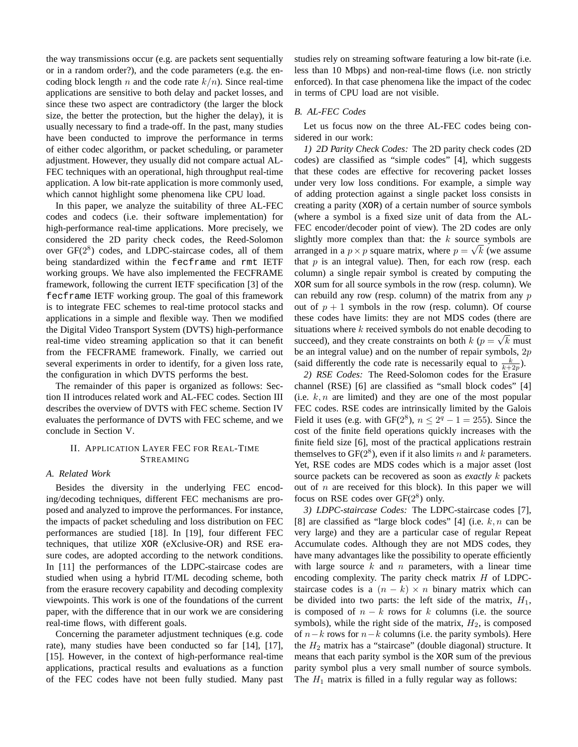the way transmissions occur (e.g. are packets sent sequentially or in a random order?), and the code parameters (e.g. the encoding block length n and the code rate  $k/n$ ). Since real-time applications are sensitive to both delay and packet losses, and since these two aspect are contradictory (the larger the block size, the better the protection, but the higher the delay), it is usually necessary to find a trade-off. In the past, many studies have been conducted to improve the performance in terms of either codec algorithm, or packet scheduling, or parameter adjustment. However, they usually did not compare actual AL-FEC techniques with an operational, high throughput real-time application. A low bit-rate application is more commonly used, which cannot highlight some phenomena like CPU load.

In this paper, we analyze the suitability of three AL-FEC codes and codecs (i.e. their software implementation) for high-performance real-time applications. More precisely, we considered the 2D parity check codes, the Reed-Solomon over GF( $2^8$ ) codes, and LDPC-staircase codes, all of them being standardized within the fecframe and rmt IETF working groups. We have also implemented the FECFRAME framework, following the current IETF specification [3] of the fecframe IETF working group. The goal of this framework is to integrate FEC schemes to real-time protocol stacks and applications in a simple and flexible way. Then we modified the Digital Video Transport System (DVTS) high-performance real-time video streaming application so that it can benefit from the FECFRAME framework. Finally, we carried out several experiments in order to identify, for a given loss rate, the configuration in which DVTS performs the best.

The remainder of this paper is organized as follows: Section II introduces related work and AL-FEC codes. Section III describes the overview of DVTS with FEC scheme. Section IV evaluates the performance of DVTS with FEC scheme, and we conclude in Section V.

#### II. APPLICATION LAYER FEC FOR REAL-TIME STREAMING

#### *A. Related Work*

Besides the diversity in the underlying FEC encoding/decoding techniques, different FEC mechanisms are proposed and analyzed to improve the performances. For instance, the impacts of packet scheduling and loss distribution on FEC performances are studied [18]. In [19], four different FEC techniques, that utilize XOR (eXclusive-OR) and RSE erasure codes, are adopted according to the network conditions. In [11] the performances of the LDPC-staircase codes are studied when using a hybrid IT/ML decoding scheme, both from the erasure recovery capability and decoding complexity viewpoints. This work is one of the foundations of the current paper, with the difference that in our work we are considering real-time flows, with different goals.

Concerning the parameter adjustment techniques (e.g. code rate), many studies have been conducted so far [14], [17], [15]. However, in the context of high-performance real-time applications, practical results and evaluations as a function of the FEC codes have not been fully studied. Many past studies rely on streaming software featuring a low bit-rate (i.e. less than 10 Mbps) and non-real-time flows (i.e. non strictly enforced). In that case phenomena like the impact of the codec in terms of CPU load are not visible.

#### *B. AL-FEC Codes*

Let us focus now on the three AL-FEC codes being considered in our work:

*1) 2D Parity Check Codes:* The 2D parity check codes (2D codes) are classified as "simple codes" [4], which suggests that these codes are effective for recovering packet losses under very low loss conditions. For example, a simple way of adding protection against a single packet loss consists in creating a parity (XOR) of a certain number of source symbols (where a symbol is a fixed size unit of data from the AL-FEC encoder/decoder point of view). The 2D codes are only slightly more complex than that: the  $k$  source symbols are arranged in a  $p \times p$  square matrix, where  $p = \sqrt{k}$  (we assume that  $p$  is an integral value). Then, for each row (resp. each column) a single repair symbol is created by computing the XOR sum for all source symbols in the row (resp. column). We can rebuild any row (resp. column) of the matrix from any  $p$ out of  $p + 1$  symbols in the row (resp. column). Of course these codes have limits: they are not MDS codes (there are situations where  $k$  received symbols do not enable decoding to succeed), and they create constraints on both  $k$  ( $p = \sqrt{k}$  must be an integral value) and on the number of repair symbols,  $2p$ (said differently the code rate is necessarily equal to  $\frac{k}{k+2p}$ ).

*2) RSE Codes:* The Reed-Solomon codes for the Erasure channel (RSE) [6] are classified as "small block codes" [4] (i.e.  $k, n$  are limited) and they are one of the most popular FEC codes. RSE codes are intrinsically limited by the Galois Field it uses (e.g. with GF( $2^8$ ),  $n \le 2^q - 1 = 255$ ). Since the cost of the finite field operations quickly increases with the finite field size [6], most of the practical applications restrain themselves to GF( $2^8$ ), even if it also limits n and k parameters. Yet, RSE codes are MDS codes which is a major asset (lost source packets can be recovered as soon as *exactly* k packets out of  $n$  are received for this block). In this paper we will focus on RSE codes over  $GF(2^8)$  only.

*3) LDPC-staircase Codes:* The LDPC-staircase codes [7], [8] are classified as "large block codes" [4] (i.e.  $k, n$  can be very large) and they are a particular case of regular Repeat Accumulate codes. Although they are not MDS codes, they have many advantages like the possibility to operate efficiently with large source  $k$  and  $n$  parameters, with a linear time encoding complexity. The parity check matrix H of LDPCstaircase codes is a  $(n - k) \times n$  binary matrix which can be divided into two parts: the left side of the matrix,  $H_1$ , is composed of  $n - k$  rows for k columns (i.e. the source symbols), while the right side of the matrix,  $H_2$ , is composed of  $n-k$  rows for  $n-k$  columns (i.e. the parity symbols). Here the  $H_2$  matrix has a "staircase" (double diagonal) structure. It means that each parity symbol is the XOR sum of the previous parity symbol plus a very small number of source symbols. The  $H_1$  matrix is filled in a fully regular way as follows: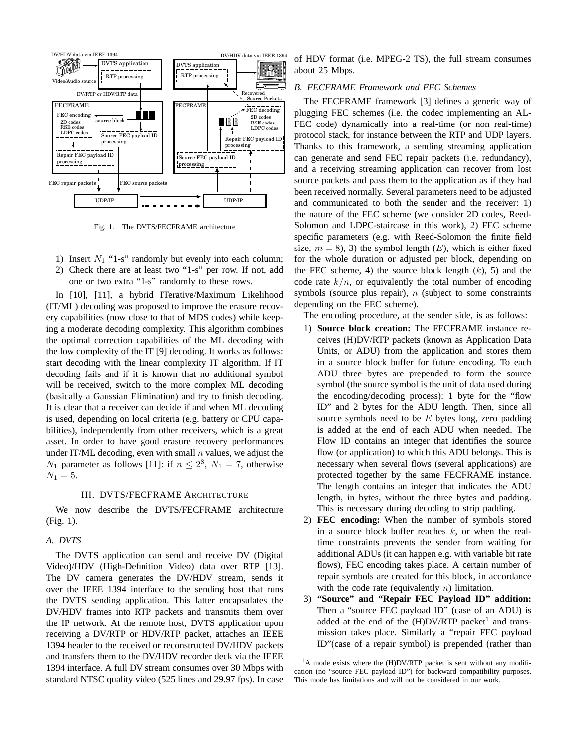

Fig. 1. The DVTS/FECFRAME architecture

- 1) Insert  $N_1$  "1-s" randomly but evenly into each column;
- 2) Check there are at least two "1-s" per row. If not, add one or two extra "1-s" randomly to these rows.

In [10], [11], a hybrid ITerative/Maximum Likelihood (IT/ML) decoding was proposed to improve the erasure recovery capabilities (now close to that of MDS codes) while keeping a moderate decoding complexity. This algorithm combines the optimal correction capabilities of the ML decoding with the low complexity of the IT [9] decoding. It works as follows: start decoding with the linear complexity IT algorithm. If IT decoding fails and if it is known that no additional symbol will be received, switch to the more complex ML decoding (basically a Gaussian Elimination) and try to finish decoding. It is clear that a receiver can decide if and when ML decoding is used, depending on local criteria (e.g. battery or CPU capabilities), independently from other receivers, which is a great asset. In order to have good erasure recovery performances under IT/ML decoding, even with small  $n$  values, we adjust the  $N_1$  parameter as follows [11]: if  $n \leq 2^8$ ,  $N_1 = 7$ , otherwise  $N_1 = 5$ .

#### III. DVTS/FECFRAME ARCHITECTURE

We now describe the DVTS/FECFRAME architecture (Fig. 1).

#### *A. DVTS*

The DVTS application can send and receive DV (Digital Video)/HDV (High-Definition Video) data over RTP [13]. The DV camera generates the DV/HDV stream, sends it over the IEEE 1394 interface to the sending host that runs the DVTS sending application. This latter encapsulates the DV/HDV frames into RTP packets and transmits them over the IP network. At the remote host, DVTS application upon receiving a DV/RTP or HDV/RTP packet, attaches an IEEE 1394 header to the received or reconstructed DV/HDV packets and transfers them to the DV/HDV recorder deck via the IEEE 1394 interface. A full DV stream consumes over 30 Mbps with standard NTSC quality video (525 lines and 29.97 fps). In case

of HDV format (i.e. MPEG-2 TS), the full stream consumes about 25 Mbps.

#### *B. FECFRAME Framework and FEC Schemes*

The FECFRAME framework [3] defines a generic way of plugging FEC schemes (i.e. the codec implementing an AL-FEC code) dynamically into a real-time (or non real-time) protocol stack, for instance between the RTP and UDP layers. Thanks to this framework, a sending streaming application can generate and send FEC repair packets (i.e. redundancy), and a receiving streaming application can recover from lost source packets and pass them to the application as if they had been received normally. Several parameters need to be adjusted and communicated to both the sender and the receiver: 1) the nature of the FEC scheme (we consider 2D codes, Reed-Solomon and LDPC-staircase in this work), 2) FEC scheme specific parameters (e.g. with Reed-Solomon the finite field size,  $m = 8$ , 3) the symbol length (E), which is either fixed for the whole duration or adjusted per block, depending on the FEC scheme, 4) the source block length  $(k)$ , 5) and the code rate  $k/n$ , or equivalently the total number of encoding symbols (source plus repair),  $n$  (subject to some constraints depending on the FEC scheme).

The encoding procedure, at the sender side, is as follows:

- 1) **Source block creation:** The FECFRAME instance receives (H)DV/RTP packets (known as Application Data Units, or ADU) from the application and stores them in a source block buffer for future encoding. To each ADU three bytes are prepended to form the source symbol (the source symbol is the unit of data used during the encoding/decoding process): 1 byte for the "flow ID" and 2 bytes for the ADU length. Then, since all source symbols need to be  $E$  bytes long, zero padding is added at the end of each ADU when needed. The Flow ID contains an integer that identifies the source flow (or application) to which this ADU belongs. This is necessary when several flows (several applications) are protected together by the same FECFRAME instance. The length contains an integer that indicates the ADU length, in bytes, without the three bytes and padding. This is necessary during decoding to strip padding.
- 2) **FEC encoding:** When the number of symbols stored in a source block buffer reaches  $k$ , or when the realtime constraints prevents the sender from waiting for additional ADUs (it can happen e.g. with variable bit rate flows), FEC encoding takes place. A certain number of repair symbols are created for this block, in accordance with the code rate (equivalently  $n$ ) limitation.
- 3) **"Source" and "Repair FEC Payload ID" addition:** Then a "source FEC payload ID" (case of an ADU) is added at the end of the  $(H)$ DV/RTP packet<sup>1</sup> and transmission takes place. Similarly a "repair FEC payload ID"(case of a repair symbol) is prepended (rather than

<sup>1</sup>A mode exists where the (H)DV/RTP packet is sent without any modification (no "source FEC payload ID") for backward compatibility purposes. This mode has limitations and will not be considered in our work.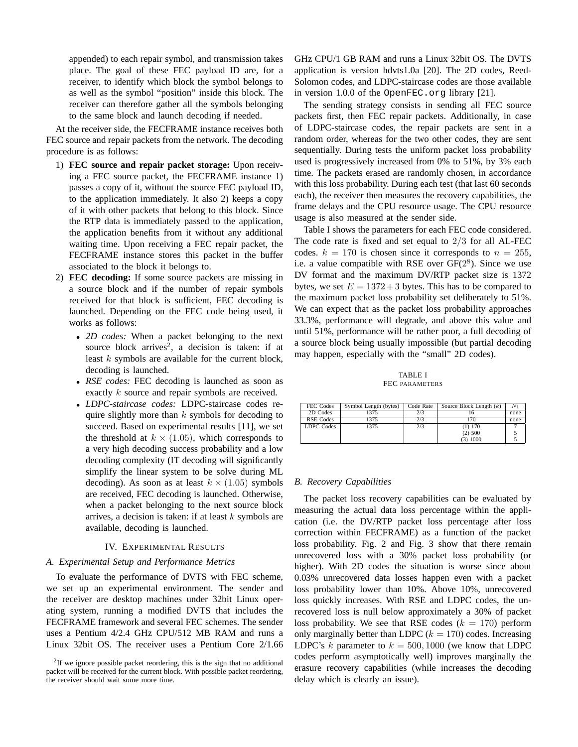appended) to each repair symbol, and transmission takes place. The goal of these FEC payload ID are, for a receiver, to identify which block the symbol belongs to as well as the symbol "position" inside this block. The receiver can therefore gather all the symbols belonging to the same block and launch decoding if needed.

At the receiver side, the FECFRAME instance receives both FEC source and repair packets from the network. The decoding procedure is as follows:

- 1) **FEC source and repair packet storage:** Upon receiving a FEC source packet, the FECFRAME instance 1) passes a copy of it, without the source FEC payload ID, to the application immediately. It also 2) keeps a copy of it with other packets that belong to this block. Since the RTP data is immediately passed to the application, the application benefits from it without any additional waiting time. Upon receiving a FEC repair packet, the FECFRAME instance stores this packet in the buffer associated to the block it belongs to.
- 2) **FEC decoding:** If some source packets are missing in a source block and if the number of repair symbols received for that block is sufficient, FEC decoding is launched. Depending on the FEC code being used, it works as follows:
	- *2D codes:* When a packet belonging to the next source block arrives<sup>2</sup>, a decision is taken: if at least k symbols are available for the current block, decoding is launched.
	- *RSE codes:* FEC decoding is launched as soon as exactly k source and repair symbols are received.
	- *LDPC-staircase codes:* LDPC-staircase codes require slightly more than  $k$  symbols for decoding to succeed. Based on experimental results [11], we set the threshold at  $k \times (1.05)$ , which corresponds to a very high decoding success probability and a low decoding complexity (IT decoding will significantly simplify the linear system to be solve during ML decoding). As soon as at least  $k \times (1.05)$  symbols are received, FEC decoding is launched. Otherwise, when a packet belonging to the next source block arrives, a decision is taken: if at least  $k$  symbols are available, decoding is launched.

#### IV. EXPERIMENTAL RESULTS

#### *A. Experimental Setup and Performance Metrics*

To evaluate the performance of DVTS with FEC scheme, we set up an experimental environment. The sender and the receiver are desktop machines under 32bit Linux operating system, running a modified DVTS that includes the FECFRAME framework and several FEC schemes. The sender uses a Pentium 4/2.4 GHz CPU/512 MB RAM and runs a Linux 32bit OS. The receiver uses a Pentium Core 2/1.66 GHz CPU/1 GB RAM and runs a Linux 32bit OS. The DVTS application is version hdvts1.0a [20]. The 2D codes, Reed-Solomon codes, and LDPC-staircase codes are those available in version 1.0.0 of the OpenFEC.org library [21].

The sending strategy consists in sending all FEC source packets first, then FEC repair packets. Additionally, in case of LDPC-staircase codes, the repair packets are sent in a random order, whereas for the two other codes, they are sent sequentially. During tests the uniform packet loss probability used is progressively increased from 0% to 51%, by 3% each time. The packets erased are randomly chosen, in accordance with this loss probability. During each test (that last 60 seconds each), the receiver then measures the recovery capabilities, the frame delays and the CPU resource usage. The CPU resource usage is also measured at the sender side.

Table I shows the parameters for each FEC code considered. The code rate is fixed and set equal to 2/3 for all AL-FEC codes.  $k = 170$  is chosen since it corresponds to  $n = 255$ , i.e. a value compatible with RSE over  $GF(2^8)$ . Since we use DV format and the maximum DV/RTP packet size is 1372 bytes, we set  $E = 1372 + 3$  bytes. This has to be compared to the maximum packet loss probability set deliberately to 51%. We can expect that as the packet loss probability approaches 33.3%, performance will degrade, and above this value and until 51%, performance will be rather poor, a full decoding of a source block being usually impossible (but partial decoding may happen, especially with the "small" 2D codes).

TABLE I FEC PARAMETERS

| FEC Codes         | Symbol Length (bytes) | Code Rate | Source Block Length $(k)$ |      |
|-------------------|-----------------------|-----------|---------------------------|------|
| 2D Codes          | 1375                  | 2/3       |                           | none |
| <b>RSE</b> Codes  | 1375                  | 2/3       | 170                       | none |
| <b>LDPC</b> Codes | 1375                  | 2/3       | $(1)$ 170                 |      |
|                   |                       |           | $(2)$ 500                 |      |
|                   |                       |           | $(3)$ 1000                |      |

#### *B. Recovery Capabilities*

The packet loss recovery capabilities can be evaluated by measuring the actual data loss percentage within the application (i.e. the DV/RTP packet loss percentage after loss correction within FECFRAME) as a function of the packet loss probability. Fig. 2 and Fig. 3 show that there remain unrecovered loss with a 30% packet loss probability (or higher). With 2D codes the situation is worse since about 0.03% unrecovered data losses happen even with a packet loss probability lower than 10%. Above 10%, unrecovered loss quickly increases. With RSE and LDPC codes, the unrecovered loss is null below approximately a 30% of packet loss probability. We see that RSE codes  $(k = 170)$  perform only marginally better than LDPC  $(k = 170)$  codes. Increasing LDPC's k parameter to  $k = 500, 1000$  (we know that LDPC codes perform asymptotically well) improves marginally the erasure recovery capabilities (while increases the decoding delay which is clearly an issue).

<sup>&</sup>lt;sup>2</sup>If we ignore possible packet reordering, this is the sign that no additional packet will be received for the current block. With possible packet reordering, the receiver should wait some more time.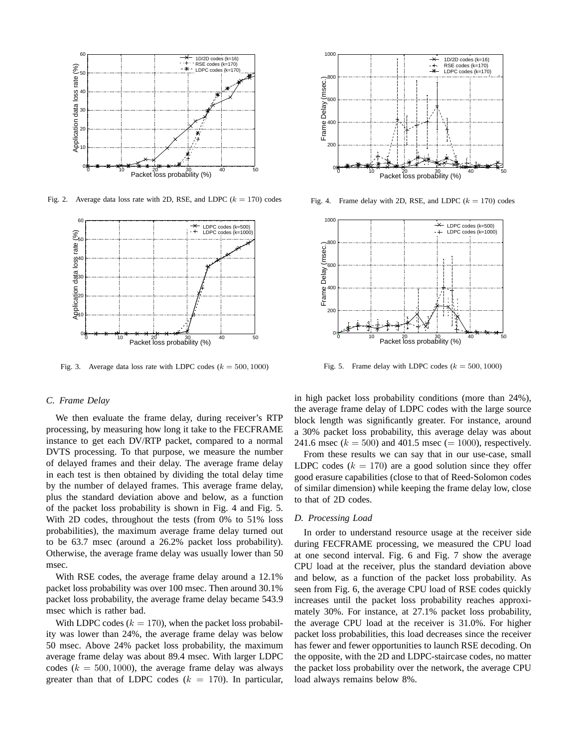

Fig. 2. Average data loss rate with 2D, RSE, and LDPC  $(k = 170)$  codes



Fig. 3. Average data loss rate with LDPC codes  $(k = 500, 1000)$ 

#### *C. Frame Delay*

We then evaluate the frame delay, during receiver's RTP processing, by measuring how long it take to the FECFRAME instance to get each DV/RTP packet, compared to a normal DVTS processing. To that purpose, we measure the number of delayed frames and their delay. The average frame delay in each test is then obtained by dividing the total delay time by the number of delayed frames. This average frame delay, plus the standard deviation above and below, as a function of the packet loss probability is shown in Fig. 4 and Fig. 5. With 2D codes, throughout the tests (from 0% to 51% loss probabilities), the maximum average frame delay turned out to be 63.7 msec (around a 26.2% packet loss probability). Otherwise, the average frame delay was usually lower than 50 msec.

With RSE codes, the average frame delay around a 12.1% packet loss probability was over 100 msec. Then around 30.1% packet loss probability, the average frame delay became 543.9 msec which is rather bad.

With LDPC codes ( $k = 170$ ), when the packet loss probability was lower than 24%, the average frame delay was below 50 msec. Above 24% packet loss probability, the maximum average frame delay was about 89.4 msec. With larger LDPC codes ( $k = 500, 1000$ ), the average frame delay was always greater than that of LDPC codes  $(k = 170)$ . In particular,



Fig. 4. Frame delay with 2D, RSE, and LDPC  $(k = 170)$  codes



Fig. 5. Frame delay with LDPC codes  $(k = 500, 1000)$ 

in high packet loss probability conditions (more than 24%), the average frame delay of LDPC codes with the large source block length was significantly greater. For instance, around a 30% packet loss probability, this average delay was about 241.6 msec ( $k = 500$ ) and 401.5 msec (= 1000), respectively.

From these results we can say that in our use-case, small LDPC codes  $(k = 170)$  are a good solution since they offer good erasure capabilities (close to that of Reed-Solomon codes of similar dimension) while keeping the frame delay low, close to that of 2D codes.

#### *D. Processing Load*

In order to understand resource usage at the receiver side during FECFRAME processing, we measured the CPU load at one second interval. Fig. 6 and Fig. 7 show the average CPU load at the receiver, plus the standard deviation above and below, as a function of the packet loss probability. As seen from Fig. 6, the average CPU load of RSE codes quickly increases until the packet loss probability reaches approximately 30%. For instance, at 27.1% packet loss probability, the average CPU load at the receiver is 31.0%. For higher packet loss probabilities, this load decreases since the receiver has fewer and fewer opportunities to launch RSE decoding. On the opposite, with the 2D and LDPC-staircase codes, no matter the packet loss probability over the network, the average CPU load always remains below 8%.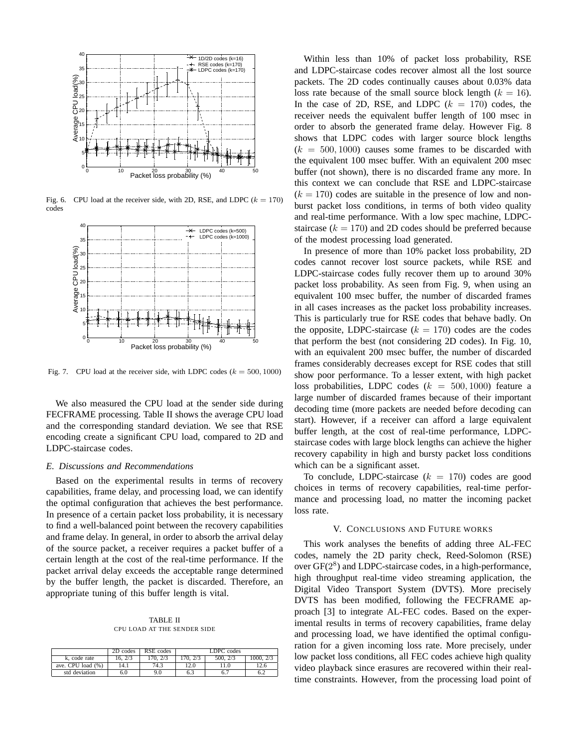

Fig. 6. CPU load at the receiver side, with 2D, RSE, and LDPC ( $k = 170$ ) codes



Fig. 7. CPU load at the receiver side, with LDPC codes  $(k = 500, 1000)$ 

We also measured the CPU load at the sender side during FECFRAME processing. Table II shows the average CPU load and the corresponding standard deviation. We see that RSE encoding create a significant CPU load, compared to 2D and LDPC-staircase codes.

#### *E. Discussions and Recommendations*

Based on the experimental results in terms of recovery capabilities, frame delay, and processing load, we can identify the optimal configuration that achieves the best performance. In presence of a certain packet loss probability, it is necessary to find a well-balanced point between the recovery capabilities and frame delay. In general, in order to absorb the arrival delay of the source packet, a receiver requires a packet buffer of a certain length at the cost of the real-time performance. If the packet arrival delay exceeds the acceptable range determined by the buffer length, the packet is discarded. Therefore, an appropriate tuning of this buffer length is vital.

TABLE II CPU LOAD AT THE SENDER SIDE

|                   | 2D codes | RSE codes |          | LDPC codes |           |
|-------------------|----------|-----------|----------|------------|-----------|
| k, code rate      | 16. 2/3  | 170. 2/3  | 170, 2/3 | 500, 2/3   | 1000, 2/3 |
| ave. CPU load (%) | 14.1     | 74.3      | 12.0     | 11.0       | 12.6      |
| std deviation     | 6.0      | 9.0       | 6.3      |            |           |

Within less than 10% of packet loss probability, RSE and LDPC-staircase codes recover almost all the lost source packets. The 2D codes continually causes about 0.03% data loss rate because of the small source block length  $(k = 16)$ . In the case of 2D, RSE, and LDPC  $(k = 170)$  codes, the receiver needs the equivalent buffer length of 100 msec in order to absorb the generated frame delay. However Fig. 8 shows that LDPC codes with larger source block lengths  $(k = 500, 1000)$  causes some frames to be discarded with the equivalent 100 msec buffer. With an equivalent 200 msec buffer (not shown), there is no discarded frame any more. In this context we can conclude that RSE and LDPC-staircase  $(k = 170)$  codes are suitable in the presence of low and nonburst packet loss conditions, in terms of both video quality and real-time performance. With a low spec machine, LDPCstaircase  $(k = 170)$  and 2D codes should be preferred because of the modest processing load generated.

In presence of more than 10% packet loss probability, 2D codes cannot recover lost source packets, while RSE and LDPC-staircase codes fully recover them up to around 30% packet loss probability. As seen from Fig. 9, when using an equivalent 100 msec buffer, the number of discarded frames in all cases increases as the packet loss probability increases. This is particularly true for RSE codes that behave badly. On the opposite, LDPC-staircase  $(k = 170)$  codes are the codes that perform the best (not considering 2D codes). In Fig. 10, with an equivalent 200 msec buffer, the number of discarded frames considerably decreases except for RSE codes that still show poor performance. To a lesser extent, with high packet loss probabilities, LDPC codes ( $k = 500, 1000$ ) feature a large number of discarded frames because of their important decoding time (more packets are needed before decoding can start). However, if a receiver can afford a large equivalent buffer length, at the cost of real-time performance, LDPCstaircase codes with large block lengths can achieve the higher recovery capability in high and bursty packet loss conditions which can be a significant asset.

To conclude, LDPC-staircase  $(k = 170)$  codes are good choices in terms of recovery capabilities, real-time performance and processing load, no matter the incoming packet loss rate.

#### V. CONCLUSIONS AND FUTURE WORKS

This work analyses the benefits of adding three AL-FEC codes, namely the 2D parity check, Reed-Solomon (RSE) over GF(2 8 ) and LDPC-staircase codes, in a high-performance, high throughput real-time video streaming application, the Digital Video Transport System (DVTS). More precisely DVTS has been modified, following the FECFRAME approach [3] to integrate AL-FEC codes. Based on the experimental results in terms of recovery capabilities, frame delay and processing load, we have identified the optimal configuration for a given incoming loss rate. More precisely, under low packet loss conditions, all FEC codes achieve high quality video playback since erasures are recovered within their realtime constraints. However, from the processing load point of